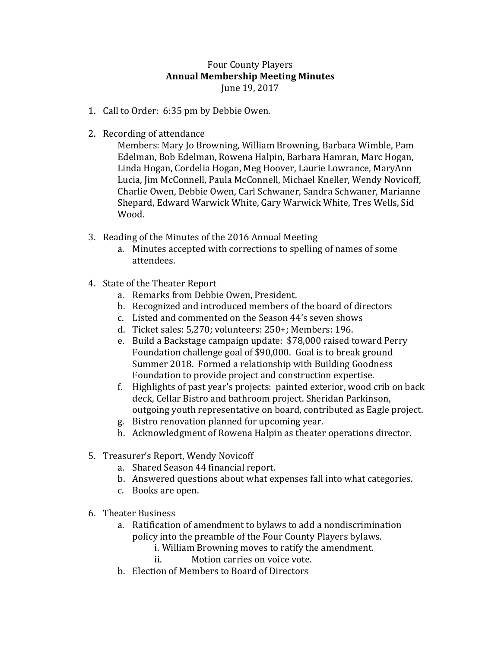## Four County Players **Annual Membership Meeting Minutes** June 19, 2017

- 1. Call to Order: 6:35 pm by Debbie Owen.
- 2. Recording of attendance

Members: Mary Jo Browning, William Browning, Barbara Wimble, Pam Edelman, Bob Edelman, Rowena Halpin, Barbara Hamran, Marc Hogan, Linda Hogan, Cordelia Hogan, Meg Hoover, Laurie Lowrance, MaryAnn Lucia, Jim McConnell, Paula McConnell, Michael Kneller, Wendy Novicoff, Charlie Owen, Debbie Owen, Carl Schwaner, Sandra Schwaner, Marianne Shepard, Edward Warwick White, Gary Warwick White, Tres Wells, Sid Wood.

- 3. Reading of the Minutes of the 2016 Annual Meeting
	- a. Minutes accepted with corrections to spelling of names of some attendees.
- 4. State of the Theater Report
	- a. Remarks from Debbie Owen, President.
	- b. Recognized and introduced members of the board of directors
	- c. Listed and commented on the Season 44's seven shows
	- d. Ticket sales: 5,270; volunteers: 250+; Members: 196.
	- e. Build a Backstage campaign update: \$78,000 raised toward Perry Foundation challenge goal of \$90,000. Goal is to break ground Summer 2018. Formed a relationship with Building Goodness Foundation to provide project and construction expertise.
	- f. Highlights of past year's projects: painted exterior, wood crib on back deck, Cellar Bistro and bathroom project. Sheridan Parkinson, outgoing youth representative on board, contributed as Eagle project.
	- g. Bistro renovation planned for upcoming year.
	- h. Acknowledgment of Rowena Halpin as theater operations director.
- 5. Treasurer's Report, Wendy Novicoff
	- a. Shared Season 44 financial report.
	- b. Answered questions about what expenses fall into what categories.
	- c. Books are open.
- 6. Theater Business
	- a. Ratification of amendment to bylaws to add a nondiscrimination policy into the preamble of the Four County Players bylaws.
		- i. William Browning moves to ratify the amendment.
		- ii. Motion carries on voice vote.
	- b. Election of Members to Board of Directors